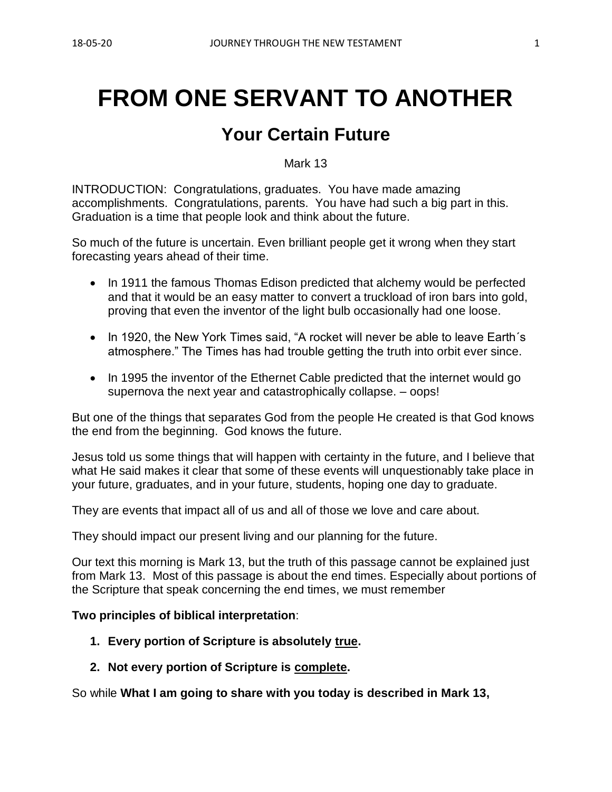# **FROM ONE SERVANT TO ANOTHER**

## **Your Certain Future**

Mark 13

INTRODUCTION: Congratulations, graduates. You have made amazing accomplishments. Congratulations, parents. You have had such a big part in this. Graduation is a time that people look and think about the future.

So much of the future is uncertain. Even brilliant people get it wrong when they start forecasting years ahead of their time.

- In 1911 the famous Thomas Edison predicted that alchemy would be perfected and that it would be an easy matter to convert a truckload of iron bars into gold, proving that even the inventor of the light bulb occasionally had one loose.
- In 1920, the New York Times said, "A rocket will never be able to leave Earth's atmosphere." The Times has had trouble getting the truth into orbit ever since.
- In 1995 the inventor of the Ethernet Cable predicted that the internet would go supernova the next year and catastrophically collapse. – oops!

But one of the things that separates God from the people He created is that God knows the end from the beginning. God knows the future.

Jesus told us some things that will happen with certainty in the future, and I believe that what He said makes it clear that some of these events will unquestionably take place in your future, graduates, and in your future, students, hoping one day to graduate.

They are events that impact all of us and all of those we love and care about.

They should impact our present living and our planning for the future.

Our text this morning is Mark 13, but the truth of this passage cannot be explained just from Mark 13. Most of this passage is about the end times. Especially about portions of the Scripture that speak concerning the end times, we must remember

#### **Two principles of biblical interpretation**:

- **1. Every portion of Scripture is absolutely true.**
- **2. Not every portion of Scripture is complete.**

So while **What I am going to share with you today is described in Mark 13,**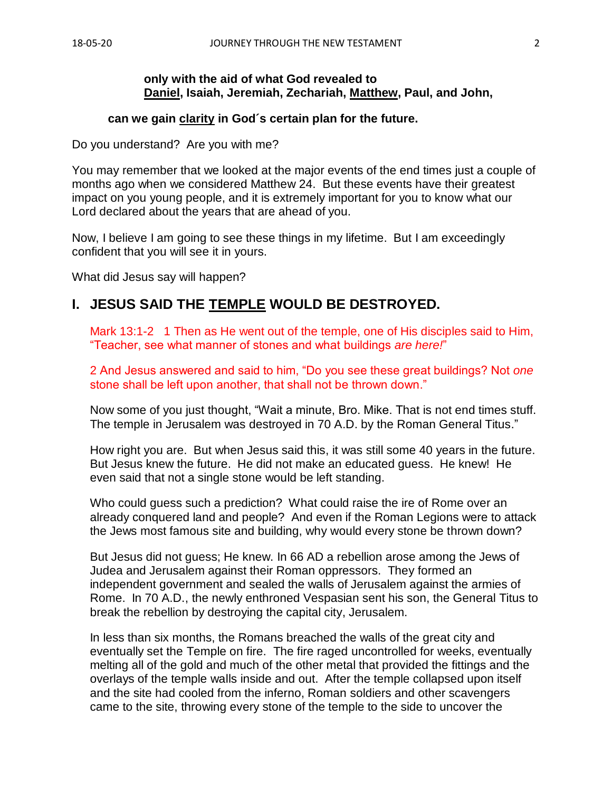#### **only with the aid of what God revealed to Daniel, Isaiah, Jeremiah, Zechariah, Matthew, Paul, and John,**

#### **can we gain clarity in God´s certain plan for the future.**

Do you understand? Are you with me?

You may remember that we looked at the major events of the end times just a couple of months ago when we considered Matthew 24. But these events have their greatest impact on you young people, and it is extremely important for you to know what our Lord declared about the years that are ahead of you.

Now, I believe I am going to see these things in my lifetime. But I am exceedingly confident that you will see it in yours.

What did Jesus say will happen?

### **I. JESUS SAID THE TEMPLE WOULD BE DESTROYED.**

Mark 13:1-2 1 Then as He went out of the temple, one of His disciples said to Him, "Teacher, see what manner of stones and what buildings *are here!*"

2 And Jesus answered and said to him, "Do you see these great buildings? Not *one* stone shall be left upon another, that shall not be thrown down."

Now some of you just thought, "Wait a minute, Bro. Mike. That is not end times stuff. The temple in Jerusalem was destroyed in 70 A.D. by the Roman General Titus."

How right you are. But when Jesus said this, it was still some 40 years in the future. But Jesus knew the future. He did not make an educated guess. He knew! He even said that not a single stone would be left standing.

Who could guess such a prediction? What could raise the ire of Rome over an already conquered land and people? And even if the Roman Legions were to attack the Jews most famous site and building, why would every stone be thrown down?

But Jesus did not guess; He knew. In 66 AD a rebellion arose among the Jews of Judea and Jerusalem against their Roman oppressors. They formed an independent government and sealed the walls of Jerusalem against the armies of Rome. In 70 A.D., the newly enthroned Vespasian sent his son, the General Titus to break the rebellion by destroying the capital city, Jerusalem.

In less than six months, the Romans breached the walls of the great city and eventually set the Temple on fire. The fire raged uncontrolled for weeks, eventually melting all of the gold and much of the other metal that provided the fittings and the overlays of the temple walls inside and out. After the temple collapsed upon itself and the site had cooled from the inferno, Roman soldiers and other scavengers came to the site, throwing every stone of the temple to the side to uncover the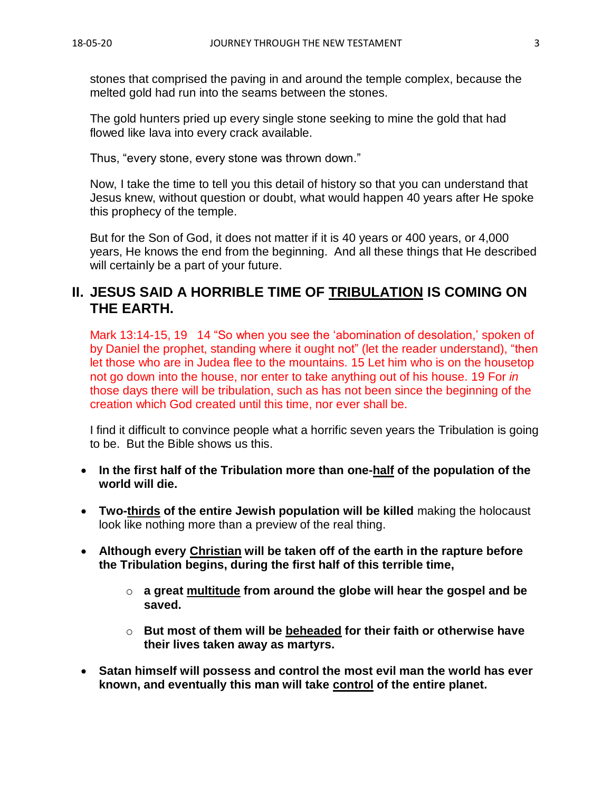stones that comprised the paving in and around the temple complex, because the melted gold had run into the seams between the stones.

The gold hunters pried up every single stone seeking to mine the gold that had flowed like lava into every crack available.

Thus, "every stone, every stone was thrown down."

Now, I take the time to tell you this detail of history so that you can understand that Jesus knew, without question or doubt, what would happen 40 years after He spoke this prophecy of the temple.

But for the Son of God, it does not matter if it is 40 years or 400 years, or 4,000 years, He knows the end from the beginning. And all these things that He described will certainly be a part of your future.

## **II. JESUS SAID A HORRIBLE TIME OF TRIBULATION IS COMING ON THE EARTH.**

Mark 13:14-15, 19 14 "So when you see the 'abomination of desolation,' spoken of by Daniel the prophet, standing where it ought not" (let the reader understand), "then let those who are in Judea flee to the mountains. 15 Let him who is on the housetop not go down into the house, nor enter to take anything out of his house. 19 For *in* those days there will be tribulation, such as has not been since the beginning of the creation which God created until this time, nor ever shall be.

I find it difficult to convince people what a horrific seven years the Tribulation is going to be. But the Bible shows us this.

- **In the first half of the Tribulation more than one-half of the population of the world will die.**
- **Two-thirds of the entire Jewish population will be killed** making the holocaust look like nothing more than a preview of the real thing.
- **Although every Christian will be taken off of the earth in the rapture before the Tribulation begins, during the first half of this terrible time,** 
	- o **a great multitude from around the globe will hear the gospel and be saved.**
	- o **But most of them will be beheaded for their faith or otherwise have their lives taken away as martyrs.**
- **Satan himself will possess and control the most evil man the world has ever known, and eventually this man will take control of the entire planet.**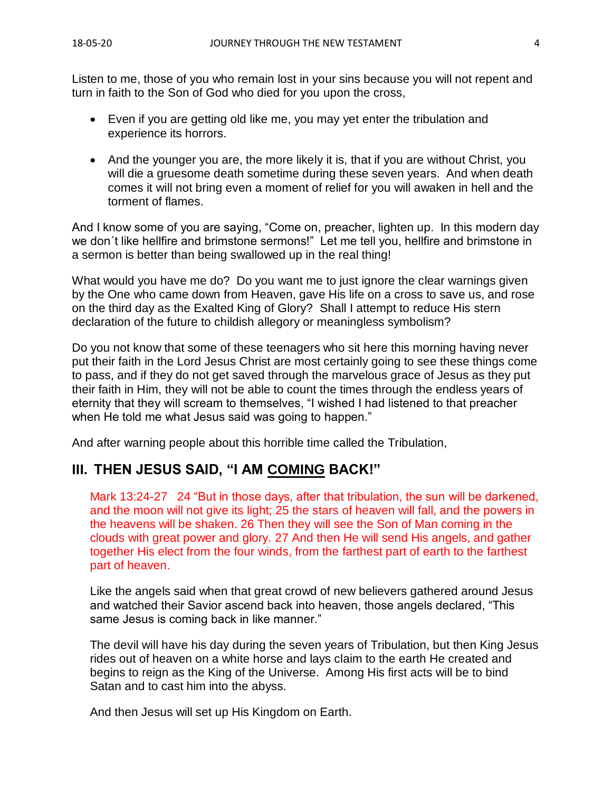Listen to me, those of you who remain lost in your sins because you will not repent and turn in faith to the Son of God who died for you upon the cross,

- Even if you are getting old like me, you may yet enter the tribulation and experience its horrors.
- And the younger you are, the more likely it is, that if you are without Christ, you will die a gruesome death sometime during these seven years. And when death comes it will not bring even a moment of relief for you will awaken in hell and the torment of flames.

And I know some of you are saying, "Come on, preacher, lighten up. In this modern day we don´t like hellfire and brimstone sermons!" Let me tell you, hellfire and brimstone in a sermon is better than being swallowed up in the real thing!

What would you have me do? Do you want me to just ignore the clear warnings given by the One who came down from Heaven, gave His life on a cross to save us, and rose on the third day as the Exalted King of Glory? Shall I attempt to reduce His stern declaration of the future to childish allegory or meaningless symbolism?

Do you not know that some of these teenagers who sit here this morning having never put their faith in the Lord Jesus Christ are most certainly going to see these things come to pass, and if they do not get saved through the marvelous grace of Jesus as they put their faith in Him, they will not be able to count the times through the endless years of eternity that they will scream to themselves, "I wished I had listened to that preacher when He told me what Jesus said was going to happen."

And after warning people about this horrible time called the Tribulation,

## **III. THEN JESUS SAID, "I AM COMING BACK!"**

Mark 13:24-27 24 "But in those days, after that tribulation, the sun will be darkened, and the moon will not give its light; 25 the stars of heaven will fall, and the powers in the heavens will be shaken. 26 Then they will see the Son of Man coming in the clouds with great power and glory. 27 And then He will send His angels, and gather together His elect from the four winds, from the farthest part of earth to the farthest part of heaven.

Like the angels said when that great crowd of new believers gathered around Jesus and watched their Savior ascend back into heaven, those angels declared, "This same Jesus is coming back in like manner."

The devil will have his day during the seven years of Tribulation, but then King Jesus rides out of heaven on a white horse and lays claim to the earth He created and begins to reign as the King of the Universe. Among His first acts will be to bind Satan and to cast him into the abyss.

And then Jesus will set up His Kingdom on Earth.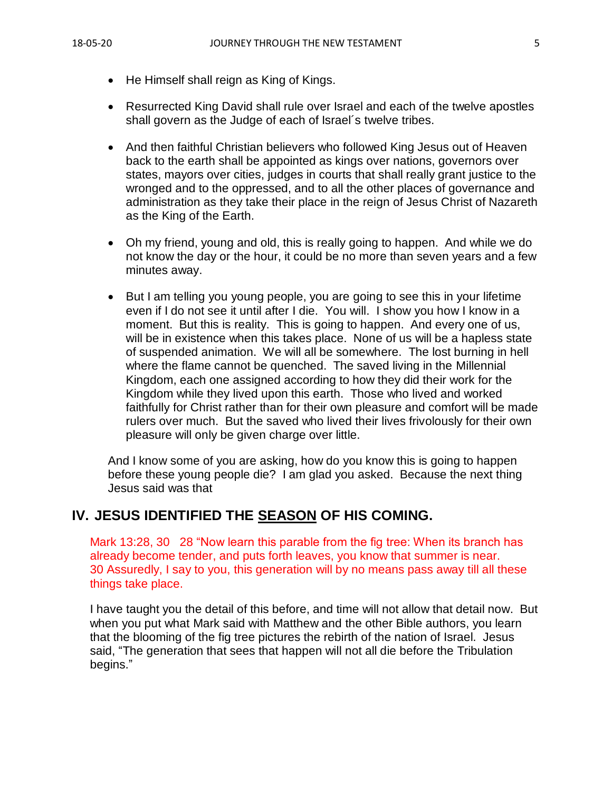- He Himself shall reign as King of Kings.
- Resurrected King David shall rule over Israel and each of the twelve apostles shall govern as the Judge of each of Israel´s twelve tribes.
- And then faithful Christian believers who followed King Jesus out of Heaven back to the earth shall be appointed as kings over nations, governors over states, mayors over cities, judges in courts that shall really grant justice to the wronged and to the oppressed, and to all the other places of governance and administration as they take their place in the reign of Jesus Christ of Nazareth as the King of the Earth.
- Oh my friend, young and old, this is really going to happen. And while we do not know the day or the hour, it could be no more than seven years and a few minutes away.
- But I am telling you young people, you are going to see this in your lifetime even if I do not see it until after I die. You will. I show you how I know in a moment. But this is reality. This is going to happen. And every one of us, will be in existence when this takes place. None of us will be a hapless state of suspended animation. We will all be somewhere. The lost burning in hell where the flame cannot be quenched. The saved living in the Millennial Kingdom, each one assigned according to how they did their work for the Kingdom while they lived upon this earth. Those who lived and worked faithfully for Christ rather than for their own pleasure and comfort will be made rulers over much. But the saved who lived their lives frivolously for their own pleasure will only be given charge over little.

And I know some of you are asking, how do you know this is going to happen before these young people die? I am glad you asked. Because the next thing Jesus said was that

## **IV. JESUS IDENTIFIED THE SEASON OF HIS COMING.**

Mark 13:28, 30 28 "Now learn this parable from the fig tree: When its branch has already become tender, and puts forth leaves, you know that summer is near. 30 Assuredly, I say to you, this generation will by no means pass away till all these things take place.

I have taught you the detail of this before, and time will not allow that detail now. But when you put what Mark said with Matthew and the other Bible authors, you learn that the blooming of the fig tree pictures the rebirth of the nation of Israel. Jesus said, "The generation that sees that happen will not all die before the Tribulation begins."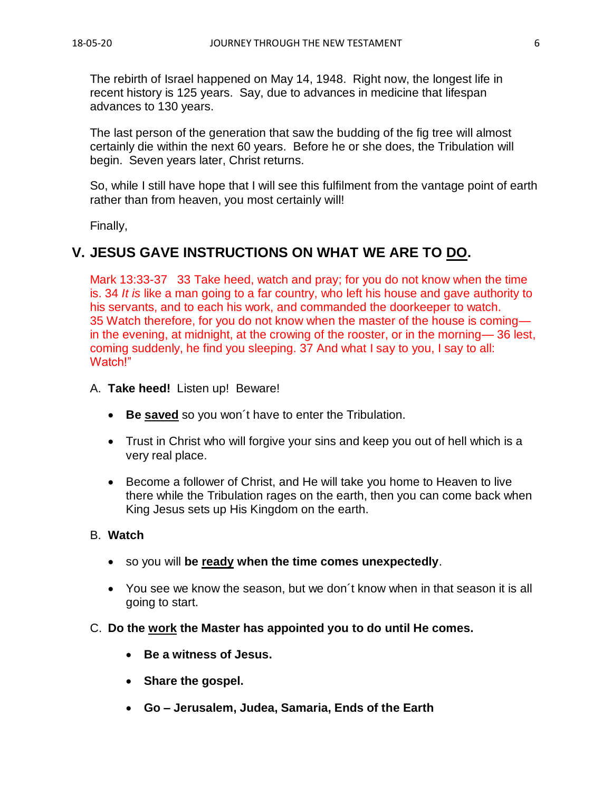The rebirth of Israel happened on May 14, 1948. Right now, the longest life in recent history is 125 years. Say, due to advances in medicine that lifespan advances to 130 years.

The last person of the generation that saw the budding of the fig tree will almost certainly die within the next 60 years. Before he or she does, the Tribulation will begin. Seven years later, Christ returns.

So, while I still have hope that I will see this fulfilment from the vantage point of earth rather than from heaven, you most certainly will!

Finally,

## **V. JESUS GAVE INSTRUCTIONS ON WHAT WE ARE TO DO.**

Mark 13:33-37 33 Take heed, watch and pray; for you do not know when the time is. 34 *It is* like a man going to a far country, who left his house and gave authority to his servants, and to each his work, and commanded the doorkeeper to watch. 35 Watch therefore, for you do not know when the master of the house is coming in the evening, at midnight, at the crowing of the rooster, or in the morning— 36 lest, coming suddenly, he find you sleeping. 37 And what I say to you, I say to all: Watch!"

#### A. **Take heed!** Listen up! Beware!

- **Be saved** so you won´t have to enter the Tribulation.
- Trust in Christ who will forgive your sins and keep you out of hell which is a very real place.
- Become a follower of Christ, and He will take you home to Heaven to live there while the Tribulation rages on the earth, then you can come back when King Jesus sets up His Kingdom on the earth.

#### B. **Watch**

- so you will **be ready when the time comes unexpectedly**.
- You see we know the season, but we don´t know when in that season it is all going to start.
- C. **Do the work the Master has appointed you to do until He comes.**
	- **Be a witness of Jesus.**
	- **Share the gospel.**
	- **Go – Jerusalem, Judea, Samaria, Ends of the Earth**